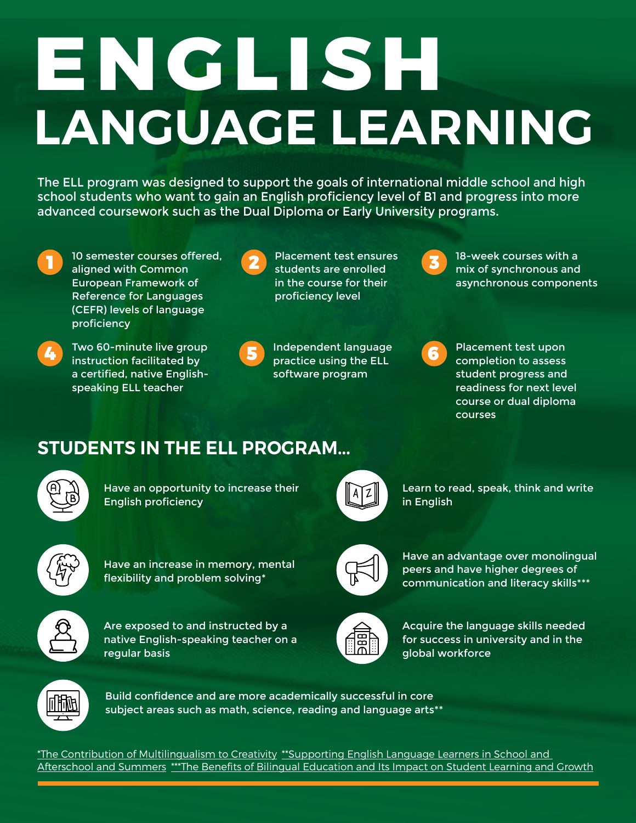# **ENGLISH LANGUAGE LEARNING**

The ELL program was designed to support the goals of international middle school and high school students who want to gain an English proficiency level of B1 and progress into more advanced coursework such as the Dual Diploma or Early University programs.

- - 10 semester courses offered, aligned with Common **2** students are enrolled European Framework of Reference for Languages (CEFR) levels of language proficiency
- 

Two 60-minute live group **4** instruction facilitated by **5** more practice using the ELL a certified, native Englishspeaking ELL teacher



Placement test ensures students are enrolled in the course for their proficiency level

Independent language practice using the ELL software program



18-week courses with a mix of synchronous and asynchronous components

Placement test upon completion to assess student progress and readiness for next level course or dual diploma courses

# **STUDENTS IN THE ELL PROGRAM...**



Have an opportunity to increase their English proficiency



Learn to read, speak, think and write in English



Have an increase in memory, mental flexibility and problem solving\*



Are exposed to and instructed by a native English-speaking teacher on a regular basis



Have an advantage over monolingual peers and have higher degrees of communication and literacy skills\*\*\*



Acquire the language skills needed for success in university and in the global workforce



Build confidence and are more academically successful in core subject areas such as math, science, reading and language arts\*\*

\*The Contribution of Multilingualism to Creativity\*\*Supporting English Language Learners in School and Afterschool and Summers\*\*\*The Benefits of Bilingual Education and Its Impact on Student Learning and Growth